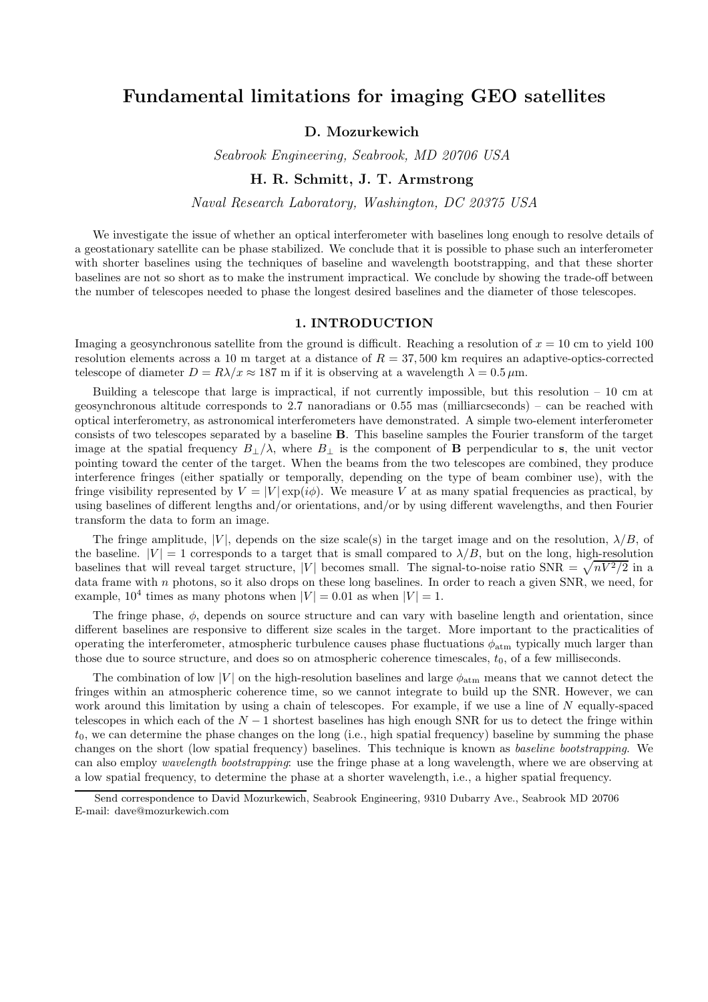# Fundamental limitations for imaging GEO satellites

## D. Mozurkewich

Seabrook Engineering, Seabrook, MD 20706 USA

# H. R. Schmitt, J. T. Armstrong

Naval Research Laboratory, Washington, DC 20375 USA

We investigate the issue of whether an optical interferometer with baselines long enough to resolve details of a geostationary satellite can be phase stabilized. We conclude that it is possible to phase such an interferometer with shorter baselines using the techniques of baseline and wavelength bootstrapping, and that these shorter baselines are not so short as to make the instrument impractical. We conclude by showing the trade-off between the number of telescopes needed to phase the longest desired baselines and the diameter of those telescopes.

#### 1. INTRODUCTION

Imaging a geosynchronous satellite from the ground is difficult. Reaching a resolution of  $x = 10$  cm to yield 100 resolution elements across a 10 m target at a distance of  $R = 37,500$  km requires an adaptive-optics-corrected telescope of diameter  $D = R\lambda/x \approx 187$  m if it is observing at a wavelength  $\lambda = 0.5 \,\mu \text{m}$ .

Building a telescope that large is impractical, if not currently impossible, but this resolution  $-10$  cm at geosynchronous altitude corresponds to 2.7 nanoradians or 0.55 mas (milliarcseconds) – can be reached with optical interferometry, as astronomical interferometers have demonstrated. A simple two-element interferometer consists of two telescopes separated by a baseline B. This baseline samples the Fourier transform of the target image at the spatial frequency  $B_{\perp}/\lambda$ , where  $B_{\perp}$  is the component of **B** perpendicular to s, the unit vector pointing toward the center of the target. When the beams from the two telescopes are combined, they produce interference fringes (either spatially or temporally, depending on the type of beam combiner use), with the fringe visibility represented by  $V = |V| \exp(i\phi)$ . We measure V at as many spatial frequencies as practical, by using baselines of different lengths and/or orientations, and/or by using different wavelengths, and then Fourier transform the data to form an image.

The fringe amplitude, |V|, depends on the size scale(s) in the target image and on the resolution,  $\lambda/B$ , of the baseline.  $|V| = 1$  corresponds to a target that is small compared to  $\lambda/B$ , but on the long, high-resolution baselines that will reveal target structure, |V| becomes small. The signal-to-noise ratio  $SNR = \sqrt{nV^2/2}$  in a data frame with  $n$  photons, so it also drops on these long baselines. In order to reach a given SNR, we need, for example,  $10^4$  times as many photons when  $|V| = 0.01$  as when  $|V| = 1$ .

The fringe phase,  $\phi$ , depends on source structure and can vary with baseline length and orientation, since different baselines are responsive to different size scales in the target. More important to the practicalities of operating the interferometer, atmospheric turbulence causes phase fluctuations  $\phi_{\text{atm}}$  typically much larger than those due to source structure, and does so on atmospheric coherence timescales,  $t_0$ , of a few milliseconds.

The combination of low |V| on the high-resolution baselines and large  $\phi_{\text{atm}}$  means that we cannot detect the fringes within an atmospheric coherence time, so we cannot integrate to build up the SNR. However, we can work around this limitation by using a chain of telescopes. For example, if we use a line of N equally-spaced telescopes in which each of the  $N-1$  shortest baselines has high enough SNR for us to detect the fringe within  $t_0$ , we can determine the phase changes on the long (i.e., high spatial frequency) baseline by summing the phase changes on the short (low spatial frequency) baselines. This technique is known as baseline bootstrapping. We can also employ wavelength bootstrapping: use the fringe phase at a long wavelength, where we are observing at a low spatial frequency, to determine the phase at a shorter wavelength, i.e., a higher spatial frequency.

Send correspondence to David Mozurkewich, Seabrook Engineering, 9310 Dubarry Ave., Seabrook MD 20706 E-mail: dave@mozurkewich.com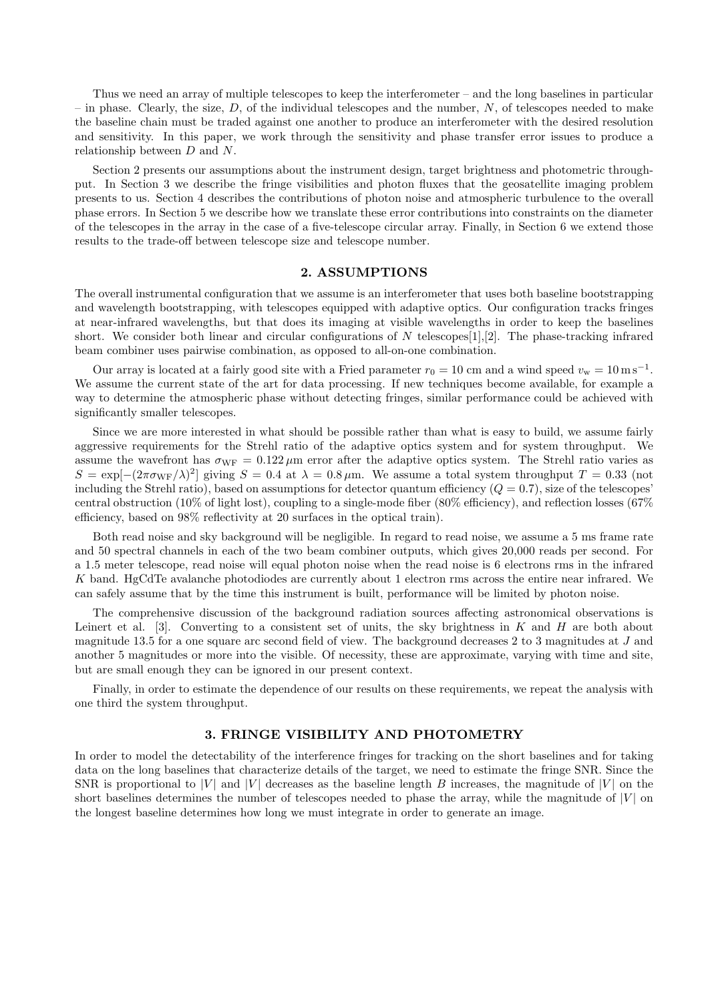Thus we need an array of multiple telescopes to keep the interferometer – and the long baselines in particular – in phase. Clearly, the size,  $D$ , of the individual telescopes and the number, N, of telescopes needed to make the baseline chain must be traded against one another to produce an interferometer with the desired resolution and sensitivity. In this paper, we work through the sensitivity and phase transfer error issues to produce a relationship between D and N.

Section 2 presents our assumptions about the instrument design, target brightness and photometric throughput. In Section 3 we describe the fringe visibilities and photon fluxes that the geosatellite imaging problem presents to us. Section 4 describes the contributions of photon noise and atmospheric turbulence to the overall phase errors. In Section 5 we describe how we translate these error contributions into constraints on the diameter of the telescopes in the array in the case of a five-telescope circular array. Finally, in Section 6 we extend those results to the trade-off between telescope size and telescope number.

#### 2. ASSUMPTIONS

The overall instrumental configuration that we assume is an interferometer that uses both baseline bootstrapping and wavelength bootstrapping, with telescopes equipped with adaptive optics. Our configuration tracks fringes at near-infrared wavelengths, but that does its imaging at visible wavelengths in order to keep the baselines short. We consider both linear and circular configurations of N telescopes [1], [2]. The phase-tracking infrared beam combiner uses pairwise combination, as opposed to all-on-one combination.

Our array is located at a fairly good site with a Fried parameter  $r_0 = 10$  cm and a wind speed  $v_w = 10 \,\text{m s}^{-1}$ . We assume the current state of the art for data processing. If new techniques become available, for example a way to determine the atmospheric phase without detecting fringes, similar performance could be achieved with significantly smaller telescopes.

Since we are more interested in what should be possible rather than what is easy to build, we assume fairly aggressive requirements for the Strehl ratio of the adaptive optics system and for system throughput. We assume the wavefront has  $\sigma_{\text{WF}} = 0.122 \,\mu\text{m}$  error after the adaptive optics system. The Strehl ratio varies as  $S = \exp[-(2\pi\sigma_{\rm WF}/\lambda)^2]$  giving  $S = 0.4$  at  $\lambda = 0.8 \,\mu$ m. We assume a total system throughput  $T = 0.33$  (not including the Strehl ratio), based on assumptions for detector quantum efficiency  $(Q = 0.7)$ , size of the telescopes' central obstruction (10% of light lost), coupling to a single-mode fiber (80% efficiency), and reflection losses (67%) efficiency, based on 98% reflectivity at 20 surfaces in the optical train).

Both read noise and sky background will be negligible. In regard to read noise, we assume a 5 ms frame rate and 50 spectral channels in each of the two beam combiner outputs, which gives 20,000 reads per second. For a 1.5 meter telescope, read noise will equal photon noise when the read noise is 6 electrons rms in the infrared K band. HgCdTe avalanche photodiodes are currently about 1 electron rms across the entire near infrared. We can safely assume that by the time this instrument is built, performance will be limited by photon noise.

The comprehensive discussion of the background radiation sources affecting astronomical observations is Leinert et al. [3]. Converting to a consistent set of units, the sky brightness in  $K$  and  $H$  are both about magnitude 13.5 for a one square arc second field of view. The background decreases 2 to 3 magnitudes at J and another 5 magnitudes or more into the visible. Of necessity, these are approximate, varying with time and site, but are small enough they can be ignored in our present context.

Finally, in order to estimate the dependence of our results on these requirements, we repeat the analysis with one third the system throughput.

# 3. FRINGE VISIBILITY AND PHOTOMETRY

In order to model the detectability of the interference fringes for tracking on the short baselines and for taking data on the long baselines that characterize details of the target, we need to estimate the fringe SNR. Since the SNR is proportional to |V| and |V| decreases as the baseline length B increases, the magnitude of  $|V|$  on the short baselines determines the number of telescopes needed to phase the array, while the magnitude of  $|V|$  on the longest baseline determines how long we must integrate in order to generate an image.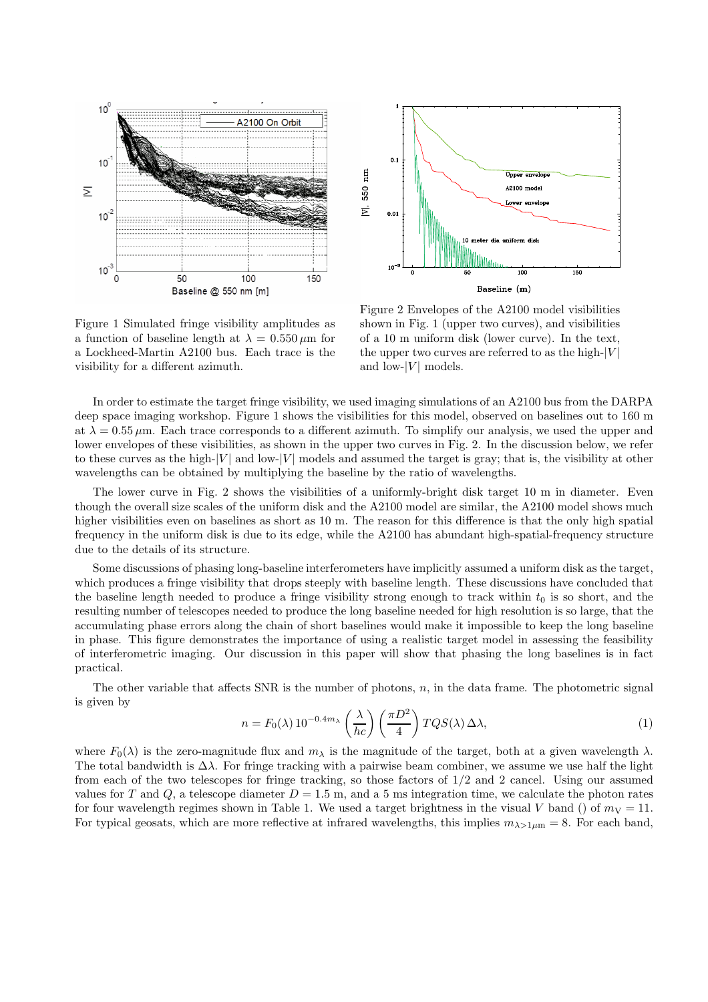



Figure 1 Simulated fringe visibility amplitudes as a function of baseline length at  $\lambda = 0.550 \,\mu \mathrm{m}$  for a Lockheed-Martin A2100 bus. Each trace is the visibility for a different azimuth.

Figure 2 Envelopes of the A2100 model visibilities shown in Fig. 1 (upper two curves), and visibilities of a 10 m uniform disk (lower curve). In the text, the upper two curves are referred to as the high- $|V|$ and low- $|V|$  models.

In order to estimate the target fringe visibility, we used imaging simulations of an A2100 bus from the DARPA deep space imaging workshop. Figure 1 shows the visibilities for this model, observed on baselines out to 160 m at  $\lambda = 0.55 \,\mu\text{m}$ . Each trace corresponds to a different azimuth. To simplify our analysis, we used the upper and lower envelopes of these visibilities, as shown in the upper two curves in Fig. 2. In the discussion below, we refer to these curves as the high- $|V|$  and low- $|V|$  models and assumed the target is gray; that is, the visibility at other wavelengths can be obtained by multiplying the baseline by the ratio of wavelengths.

The lower curve in Fig. 2 shows the visibilities of a uniformly-bright disk target 10 m in diameter. Even though the overall size scales of the uniform disk and the A2100 model are similar, the A2100 model shows much higher visibilities even on baselines as short as 10 m. The reason for this difference is that the only high spatial frequency in the uniform disk is due to its edge, while the A2100 has abundant high-spatial-frequency structure due to the details of its structure.

Some discussions of phasing long-baseline interferometers have implicitly assumed a uniform disk as the target, which produces a fringe visibility that drops steeply with baseline length. These discussions have concluded that the baseline length needed to produce a fringe visibility strong enough to track within  $t_0$  is so short, and the resulting number of telescopes needed to produce the long baseline needed for high resolution is so large, that the accumulating phase errors along the chain of short baselines would make it impossible to keep the long baseline in phase. This figure demonstrates the importance of using a realistic target model in assessing the feasibility of interferometric imaging. Our discussion in this paper will show that phasing the long baselines is in fact practical.

The other variable that affects SNR is the number of photons,  $n$ , in the data frame. The photometric signal is given by

$$
n = F_0(\lambda) 10^{-0.4m_{\lambda}} \left(\frac{\lambda}{hc}\right) \left(\frac{\pi D^2}{4}\right) TQS(\lambda) \Delta \lambda, \tag{1}
$$

where  $F_0(\lambda)$  is the zero-magnitude flux and  $m_\lambda$  is the magnitude of the target, both at a given wavelength  $\lambda$ . The total bandwidth is  $\Delta\lambda$ . For fringe tracking with a pairwise beam combiner, we assume we use half the light from each of the two telescopes for fringe tracking, so those factors of 1/2 and 2 cancel. Using our assumed values for T and Q, a telescope diameter  $D = 1.5$  m, and a 5 ms integration time, we calculate the photon rates for four wavelength regimes shown in Table 1. We used a target brightness in the visual V band () of  $m_V = 11$ . For typical geosats, which are more reflective at infrared wavelengths, this implies  $m_{\lambda>1\mu m}=8$ . For each band,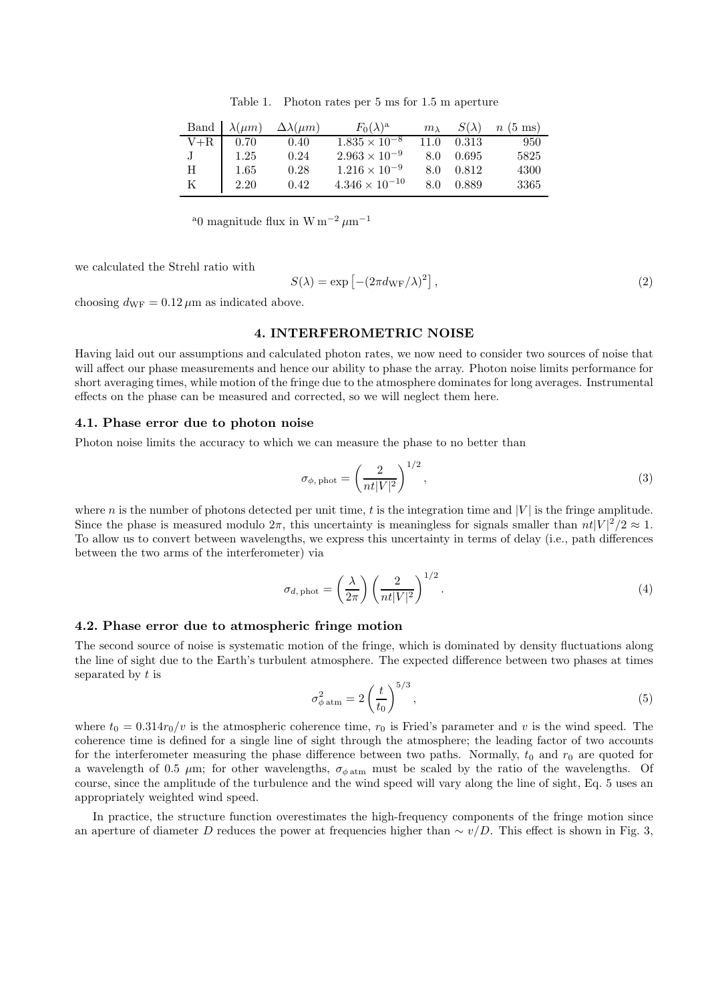Table 1. Photon rates per 5 ms for 1.5 m aperture

|         |      | Band $\lambda(\mu m)$ $\Delta\lambda(\mu m)$ | $F_0(\lambda)^a$        | $m\lambda$ | $S(\lambda)$ | $n(5$ ms) |
|---------|------|----------------------------------------------|-------------------------|------------|--------------|-----------|
| $V + R$ | 0.70 | 0.40                                         | $1.835 \times 10^{-8}$  | 11.0       | 0.313        | 950       |
|         | 1.25 | 0.24                                         | $2.963 \times 10^{-9}$  | 8.0        | 0.695        | 5825      |
| Н       | 1.65 | 0.28                                         | $1.216 \times 10^{-9}$  | 8.0        | 0.812        | 4300      |
| Κ       | 2.20 | 0.42                                         | $4.346 \times 10^{-10}$ | 8.0        | 0.889        | 3365      |

<sup>a</sup>0 magnitude flux in W m<sup>-2</sup>  $\mu$ m<sup>-1</sup>

we calculated the Strehl ratio with

$$
S(\lambda) = \exp\left[-(2\pi d_{\rm WF}/\lambda)^2\right],\tag{2}
$$

choosing  $d_{\text{WF}} = 0.12 \,\mu\text{m}$  as indicated above.

# 4. INTERFEROMETRIC NOISE

Having laid out our assumptions and calculated photon rates, we now need to consider two sources of noise that will affect our phase measurements and hence our ability to phase the array. Photon noise limits performance for short averaging times, while motion of the fringe due to the atmosphere dominates for long averages. Instrumental effects on the phase can be measured and corrected, so we will neglect them here.

#### 4.1. Phase error due to photon noise

Photon noise limits the accuracy to which we can measure the phase to no better than

$$
\sigma_{\phi, \text{phot}} = \left(\frac{2}{nt|V|^2}\right)^{1/2},\tag{3}
$$

where n is the number of photons detected per unit time, t is the integration time and  $|V|$  is the fringe amplitude. Since the phase is measured modulo  $2\pi$ , this uncertainty is meaningless for signals smaller than  $nt|V|^2/2 \approx 1$ . To allow us to convert between wavelengths, we express this uncertainty in terms of delay (i.e., path differences between the two arms of the interferometer) via

$$
\sigma_{d,\text{phot}} = \left(\frac{\lambda}{2\pi}\right) \left(\frac{2}{nt|V|^2}\right)^{1/2}.
$$
\n(4)

#### 4.2. Phase error due to atmospheric fringe motion

The second source of noise is systematic motion of the fringe, which is dominated by density fluctuations along the line of sight due to the Earth's turbulent atmosphere. The expected difference between two phases at times separated by t is

$$
\sigma_{\phi \text{ atm}}^2 = 2\left(\frac{t}{t_0}\right)^{5/3},\tag{5}
$$

where  $t_0 = 0.314r_0/v$  is the atmospheric coherence time,  $r_0$  is Fried's parameter and v is the wind speed. The coherence time is defined for a single line of sight through the atmosphere; the leading factor of two accounts for the interferometer measuring the phase difference between two paths. Normally,  $t_0$  and  $r_0$  are quoted for a wavelength of 0.5  $\mu$ m; for other wavelengths,  $\sigma_{\phi \text{atm}}$  must be scaled by the ratio of the wavelengths. Of course, since the amplitude of the turbulence and the wind speed will vary along the line of sight, Eq. 5 uses an appropriately weighted wind speed.

In practice, the structure function overestimates the high-frequency components of the fringe motion since an aperture of diameter D reduces the power at frequencies higher than  $\sim v/D$ . This effect is shown in Fig. 3,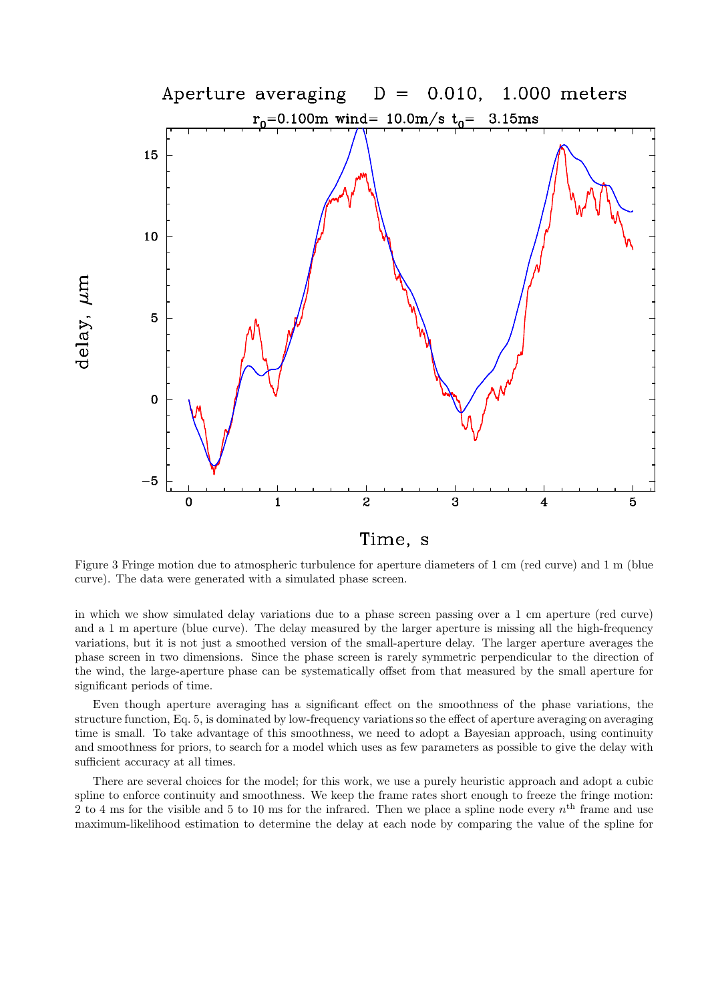

Figure 3 Fringe motion due to atmospheric turbulence for aperture diameters of 1 cm (red curve) and 1 m (blue curve). The data were generated with a simulated phase screen.

in which we show simulated delay variations due to a phase screen passing over a 1 cm aperture (red curve) and a 1 m aperture (blue curve). The delay measured by the larger aperture is missing all the high-frequency variations, but it is not just a smoothed version of the small-aperture delay. The larger aperture averages the phase screen in two dimensions. Since the phase screen is rarely symmetric perpendicular to the direction of the wind, the large-aperture phase can be systematically offset from that measured by the small aperture for significant periods of time.

Even though aperture averaging has a significant effect on the smoothness of the phase variations, the structure function, Eq. 5, is dominated by low-frequency variations so the effect of aperture averaging on averaging time is small. To take advantage of this smoothness, we need to adopt a Bayesian approach, using continuity and smoothness for priors, to search for a model which uses as few parameters as possible to give the delay with sufficient accuracy at all times.

There are several choices for the model; for this work, we use a purely heuristic approach and adopt a cubic spline to enforce continuity and smoothness. We keep the frame rates short enough to freeze the fringe motion: 2 to 4 ms for the visible and 5 to 10 ms for the infrared. Then we place a spline node every  $n<sup>th</sup>$  frame and use maximum-likelihood estimation to determine the delay at each node by comparing the value of the spline for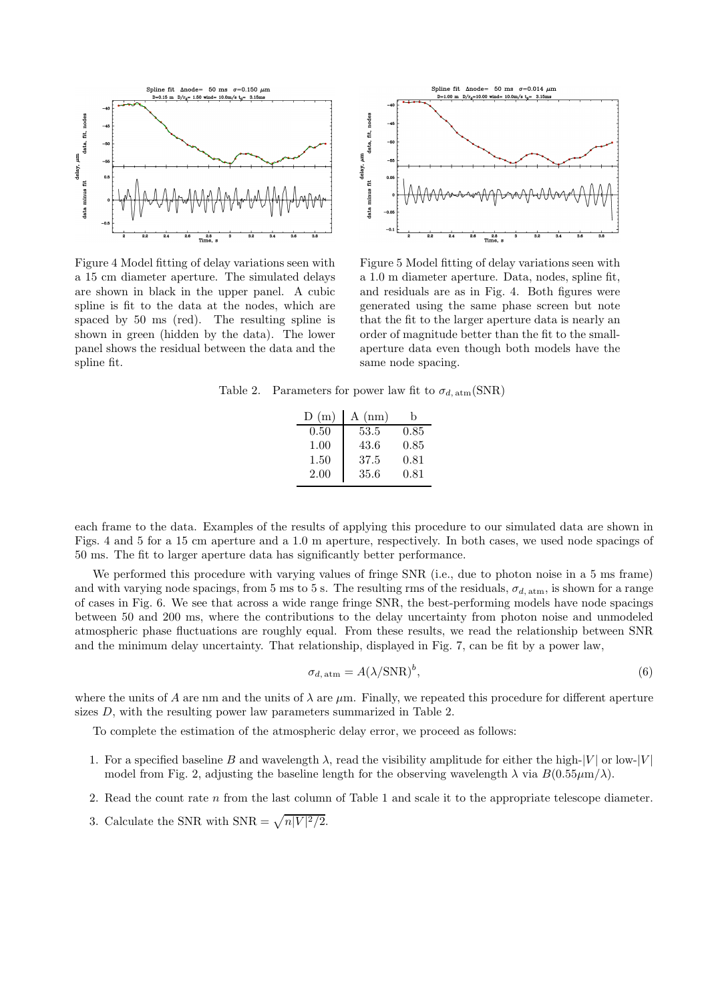

Figure 4 Model fitting of delay variations seen with a 15 cm diameter aperture. The simulated delays are shown in black in the upper panel. A cubic spline is fit to the data at the nodes, which are spaced by 50 ms (red). The resulting spline is shown in green (hidden by the data). The lower panel shows the residual between the data and the spline fit.



Figure 5 Model fitting of delay variations seen with a 1.0 m diameter aperture. Data, nodes, spline fit, and residuals are as in Fig. 4. Both figures were generated using the same phase screen but note that the fit to the larger aperture data is nearly an order of magnitude better than the fit to the smallaperture data even though both models have the same node spacing.

Table 2. Parameters for power law fit to  $\sigma_{d, \text{atm}}(\text{SNR})$ 

| D(m) | $A$ (nm) | h    |
|------|----------|------|
| 0.50 | 53.5     | 0.85 |
| 1.00 | 43.6     | 0.85 |
| 1.50 | 37.5     | 0.81 |
| 2.00 | 35.6     | 0.81 |

each frame to the data. Examples of the results of applying this procedure to our simulated data are shown in Figs. 4 and 5 for a 15 cm aperture and a 1.0 m aperture, respectively. In both cases, we used node spacings of 50 ms. The fit to larger aperture data has significantly better performance.

We performed this procedure with varying values of fringe SNR (i.e., due to photon noise in a 5 ms frame) and with varying node spacings, from 5 ms to 5 s. The resulting rms of the residuals,  $\sigma_{d, \text{atm}}$ , is shown for a range of cases in Fig. 6. We see that across a wide range fringe SNR, the best-performing models have node spacings between 50 and 200 ms, where the contributions to the delay uncertainty from photon noise and unmodeled atmospheric phase fluctuations are roughly equal. From these results, we read the relationship between SNR and the minimum delay uncertainty. That relationship, displayed in Fig. 7, can be fit by a power law,

$$
\sigma_{d, \text{atm}} = A(\lambda/\text{SNR})^b,\tag{6}
$$

where the units of A are nm and the units of  $\lambda$  are  $\mu$ m. Finally, we repeated this procedure for different aperture sizes D, with the resulting power law parameters summarized in Table 2.

To complete the estimation of the atmospheric delay error, we proceed as follows:

- 1. For a specified baseline B and wavelength  $\lambda$ , read the visibility amplitude for either the high- $|V|$  or low- $|V|$ model from Fig. 2, adjusting the baseline length for the observing wavelength  $\lambda$  via  $B(0.55\mu\text{m}/\lambda)$ .
- 2. Read the count rate n from the last column of Table 1 and scale it to the appropriate telescope diameter.
- 3. Calculate the SNR with SNR =  $\sqrt{n|V|^2/2}$ .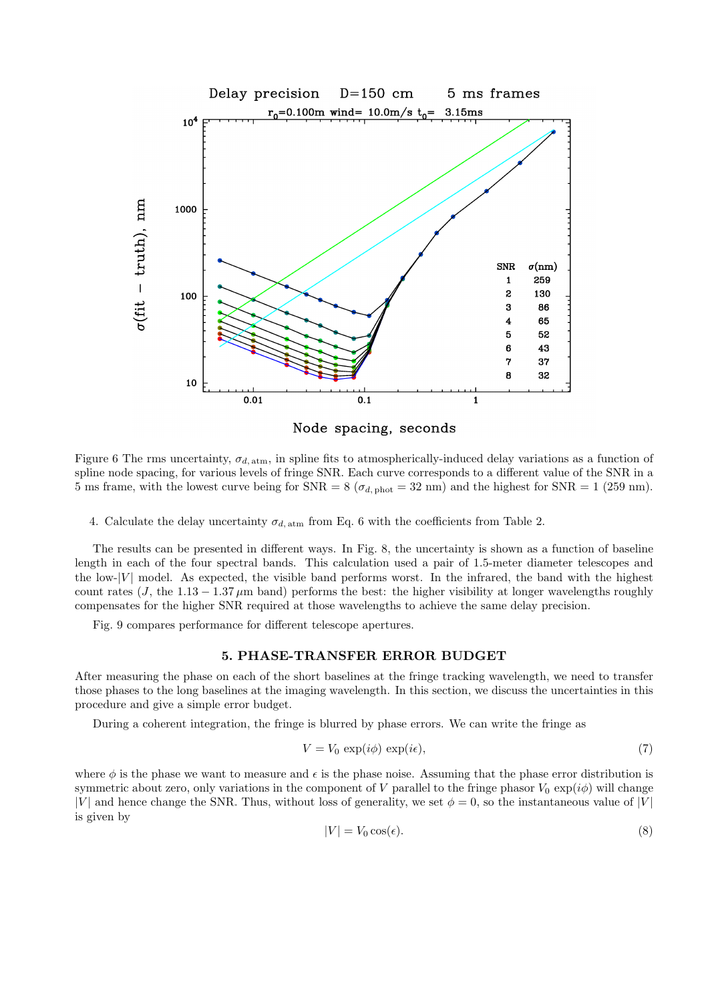

Node spacing, seconds

Figure 6 The rms uncertainty,  $\sigma_{d, \text{atm}}$ , in spline fits to atmospherically-induced delay variations as a function of spline node spacing, for various levels of fringe SNR. Each curve corresponds to a different value of the SNR in a 5 ms frame, with the lowest curve being for  $SNR = 8 (\sigma_{d, phot} = 32 \text{ nm})$  and the highest for  $SNR = 1 (259 \text{ nm}).$ 

4. Calculate the delay uncertainty  $\sigma_{d, \text{atm}}$  from Eq. 6 with the coefficients from Table 2.

The results can be presented in different ways. In Fig. 8, the uncertainty is shown as a function of baseline length in each of the four spectral bands. This calculation used a pair of 1.5-meter diameter telescopes and the low- $|V|$  model. As expected, the visible band performs worst. In the infrared, the band with the highest count rates (J, the 1.13 – 1.37  $\mu$ m band) performs the best: the higher visibility at longer wavelengths roughly compensates for the higher SNR required at those wavelengths to achieve the same delay precision.

Fig. 9 compares performance for different telescope apertures.

### 5. PHASE-TRANSFER ERROR BUDGET

After measuring the phase on each of the short baselines at the fringe tracking wavelength, we need to transfer those phases to the long baselines at the imaging wavelength. In this section, we discuss the uncertainties in this procedure and give a simple error budget.

During a coherent integration, the fringe is blurred by phase errors. We can write the fringe as

$$
V = V_0 \exp(i\phi) \exp(i\epsilon), \tag{7}
$$

where  $\phi$  is the phase we want to measure and  $\epsilon$  is the phase noise. Assuming that the phase error distribution is symmetric about zero, only variations in the component of V parallel to the fringe phasor  $V_0 \exp(i\phi)$  will change |V| and hence change the SNR. Thus, without loss of generality, we set  $\phi = 0$ , so the instantaneous value of |V| is given by

$$
|V| = V_0 \cos(\epsilon). \tag{8}
$$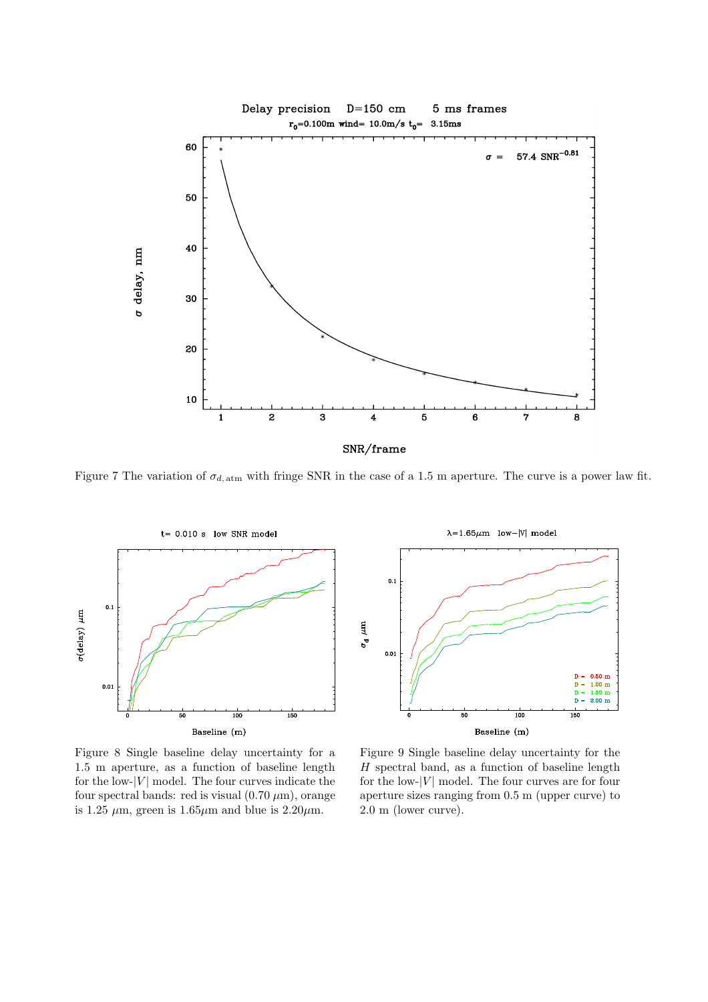

Figure 7 The variation of  $\sigma_{d, \text{atm}}$  with fringe SNR in the case of a 1.5 m aperture. The curve is a power law fit.



Figure 8 Single baseline delay uncertainty for a 1.5 m aperture, as a function of baseline length for the low- $|V|$  model. The four curves indicate the four spectral bands: red is visual  $(0.70 \,\mu\text{m})$ , orange is 1.25  $\mu$ m, green is 1.65 $\mu$ m and blue is 2.20 $\mu$ m.



Figure 9 Single baseline delay uncertainty for the  $H$  spectral band, as a function of baseline length for the low- $|V|$  model. The four curves are for four aperture sizes ranging from 0.5 m (upper curve) to 2.0 m (lower curve).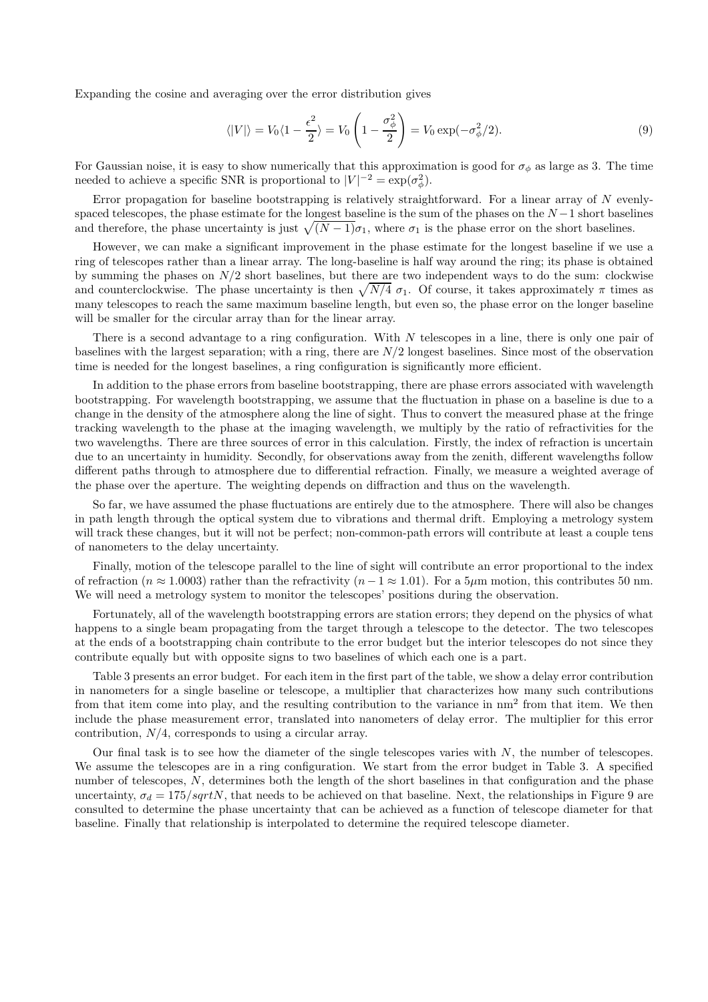Expanding the cosine and averaging over the error distribution gives

$$
\langle |V| \rangle = V_0 \langle 1 - \frac{\epsilon^2}{2} \rangle = V_0 \left( 1 - \frac{\sigma_\phi^2}{2} \right) = V_0 \exp(-\sigma_\phi^2 / 2). \tag{9}
$$

For Gaussian noise, it is easy to show numerically that this approximation is good for  $\sigma_{\phi}$  as large as 3. The time needed to achieve a specific SNR is proportional to  $|V|^{-2} = \exp(\sigma_{\phi}^2)$ .

Error propagation for baseline bootstrapping is relatively straightforward. For a linear array of  $N$  evenlyspaced telescopes, the phase estimate for the longest baseline is the sum of the phases on the  $N-1$  short baselines and therefore, the phase uncertainty is just  $\sqrt{(N-1)}\sigma_1$ , where  $\sigma_1$  is the phase error on the short baselines.

However, we can make a significant improvement in the phase estimate for the longest baseline if we use a ring of telescopes rather than a linear array. The long-baseline is half way around the ring; its phase is obtained by summing the phases on  $N/2$  short baselines, but there are two independent ways to do the sum: clockwise and counterclockwise. The phase uncertainty is then  $\sqrt{N/4}$   $\sigma_1$ . Of course, it takes approximately  $\pi$  times as many telescopes to reach the same maximum baseline length, but even so, the phase error on the longer baseline will be smaller for the circular array than for the linear array.

There is a second advantage to a ring configuration. With N telescopes in a line, there is only one pair of baselines with the largest separation; with a ring, there are  $N/2$  longest baselines. Since most of the observation time is needed for the longest baselines, a ring configuration is significantly more efficient.

In addition to the phase errors from baseline bootstrapping, there are phase errors associated with wavelength bootstrapping. For wavelength bootstrapping, we assume that the fluctuation in phase on a baseline is due to a change in the density of the atmosphere along the line of sight. Thus to convert the measured phase at the fringe tracking wavelength to the phase at the imaging wavelength, we multiply by the ratio of refractivities for the two wavelengths. There are three sources of error in this calculation. Firstly, the index of refraction is uncertain due to an uncertainty in humidity. Secondly, for observations away from the zenith, different wavelengths follow different paths through to atmosphere due to differential refraction. Finally, we measure a weighted average of the phase over the aperture. The weighting depends on diffraction and thus on the wavelength.

So far, we have assumed the phase fluctuations are entirely due to the atmosphere. There will also be changes in path length through the optical system due to vibrations and thermal drift. Employing a metrology system will track these changes, but it will not be perfect; non-common-path errors will contribute at least a couple tens of nanometers to the delay uncertainty.

Finally, motion of the telescope parallel to the line of sight will contribute an error proportional to the index of refraction ( $n \approx 1.0003$ ) rather than the refractivity ( $n-1 \approx 1.01$ ). For a 5µm motion, this contributes 50 nm. We will need a metrology system to monitor the telescopes' positions during the observation.

Fortunately, all of the wavelength bootstrapping errors are station errors; they depend on the physics of what happens to a single beam propagating from the target through a telescope to the detector. The two telescopes at the ends of a bootstrapping chain contribute to the error budget but the interior telescopes do not since they contribute equally but with opposite signs to two baselines of which each one is a part.

Table 3 presents an error budget. For each item in the first part of the table, we show a delay error contribution in nanometers for a single baseline or telescope, a multiplier that characterizes how many such contributions from that item come into play, and the resulting contribution to the variance in nm<sup>2</sup> from that item. We then include the phase measurement error, translated into nanometers of delay error. The multiplier for this error contribution,  $N/4$ , corresponds to using a circular array.

Our final task is to see how the diameter of the single telescopes varies with  $N$ , the number of telescopes. We assume the telescopes are in a ring configuration. We start from the error budget in Table 3. A specified number of telescopes, N, determines both the length of the short baselines in that configuration and the phase uncertainty,  $\sigma_d = 175/sqrtN$ , that needs to be achieved on that baseline. Next, the relationships in Figure 9 are consulted to determine the phase uncertainty that can be achieved as a function of telescope diameter for that baseline. Finally that relationship is interpolated to determine the required telescope diameter.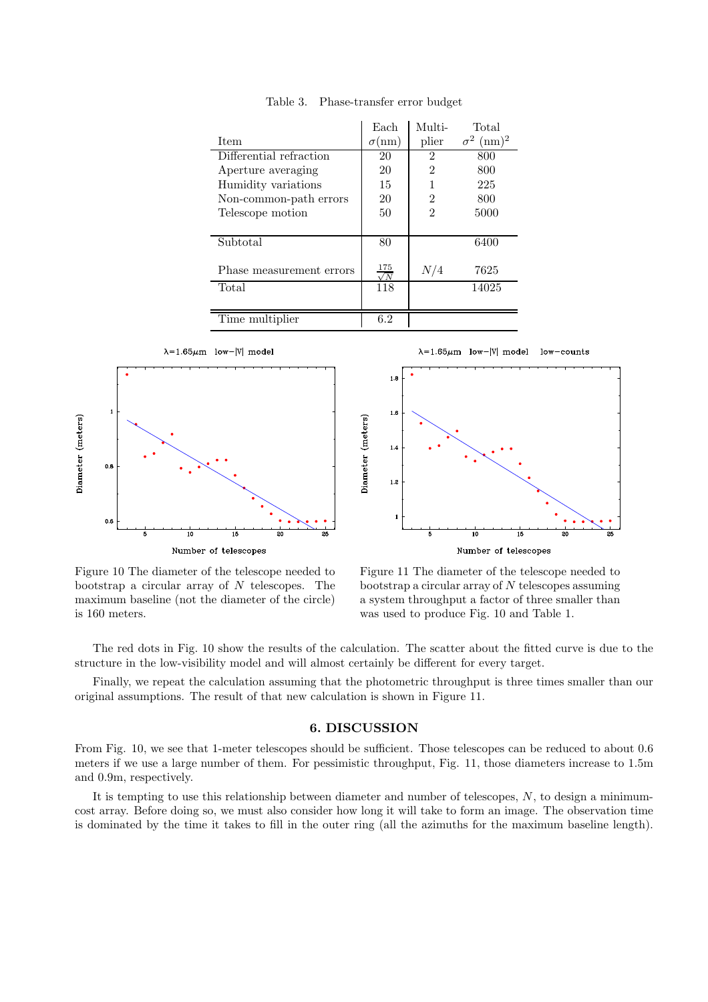|                          | Each                  | Multi-         | Total                  |
|--------------------------|-----------------------|----------------|------------------------|
| <b>Item</b>              | $\sigma(nm)$          | plier          | $\sigma^2$<br>$(nm)^2$ |
| Differential refraction  | 20                    | $\overline{2}$ | 800                    |
| Aperture averaging       | 20                    | $\overline{2}$ | 800                    |
| Humidity variations      | 15                    |                | 225                    |
| Non-common-path errors   | 20                    | $\overline{2}$ | 800                    |
| Telescope motion         | 50                    | $\overline{2}$ | 5000                   |
|                          |                       |                |                        |
| Subtotal                 | 80                    |                | 6400                   |
|                          |                       |                |                        |
| Phase measurement errors | 175<br>$\overline{N}$ | N/4            | 7625                   |
| Total                    | 118                   |                | 14025                  |
|                          |                       |                |                        |
| Time multiplier          | 6.2                   |                |                        |

Table 3. Phase-transfer error budget



 $\lambda = 1.65 \mu m$  low-|V| model  $low$ -counts



Figure 10 The diameter of the telescope needed to bootstrap a circular array of  $N$  telescopes. The maximum baseline (not the diameter of the circle) is 160 meters.

Figure 11 The diameter of the telescope needed to bootstrap a circular array of  $N$  telescopes assuming a system throughput a factor of three smaller than was used to produce Fig. 10 and Table 1.

The red dots in Fig. 10 show the results of the calculation. The scatter about the fitted curve is due to the structure in the low-visibility model and will almost certainly be different for every target.

Finally, we repeat the calculation assuming that the photometric throughput is three times smaller than our original assumptions. The result of that new calculation is shown in Figure 11.

### 6. DISCUSSION

From Fig. 10, we see that 1-meter telescopes should be sufficient. Those telescopes can be reduced to about 0.6 meters if we use a large number of them. For pessimistic throughput, Fig. 11, those diameters increase to 1.5m and 0.9m, respectively.

It is tempting to use this relationship between diameter and number of telescopes,  $N$ , to design a minimumcost array. Before doing so, we must also consider how long it will take to form an image. The observation time is dominated by the time it takes to fill in the outer ring (all the azimuths for the maximum baseline length).